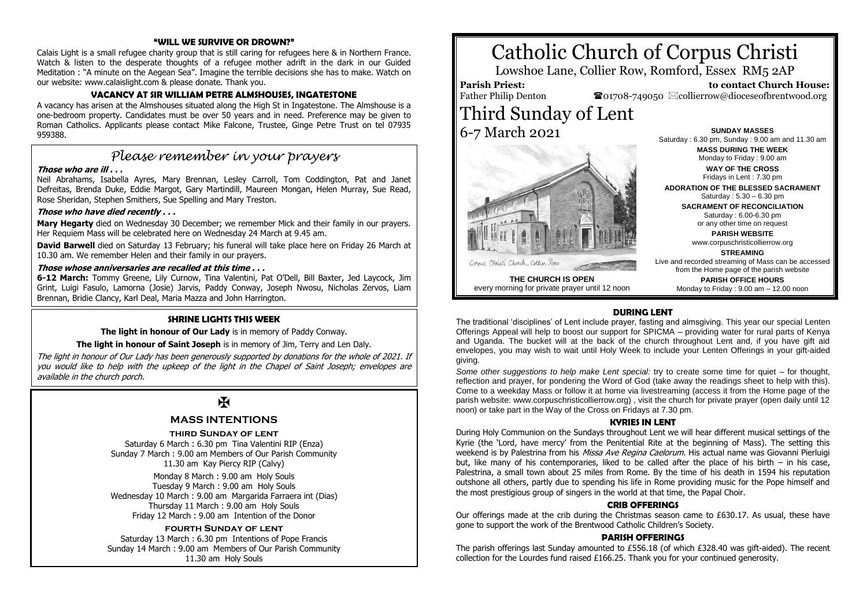#### **"WILL WE SURVIVE OR DROWN?"**

Calais Light is a small refugee charity group that is still caring for refugees here & in Northern France. Watch & listen to the desperate thoughts of a refugee mother adrift in the dark in our Guided Meditation : "A minute on the Aegean Sea". Imagine the terrible decisions she has to make. Watch on our website: www.calaislight.com & please donate. Thank you.

# **VACANCY AT SIR WILLIAM PETRE ALMSHOUSES, INGATESTONE**

A vacancy has arisen at the Almshouses situated along the High St in Ingatestone. The Almshouse is a one-bedroom property. Candidates must be over 50 years and in need. Preference may be given to Roman Catholics. Applicants please contact Mike Falcone, Trustee, Ginge Petre Trust on tel 07935 959388.

# *Please remember in your prayers*

#### **Those who are ill . . .**

Neil Abrahams, Isabella Ayres, Mary Brennan, Lesley Carroll, Tom Coddington, Pat and Janet Defreitas, Brenda Duke, Eddie Margot, Gary Martindill, Maureen Mongan, Helen Murray, Sue Read, Rose Sheridan, Stephen Smithers, Sue Spelling and Mary Treston.

#### **Those who have died recently . . .**

**Mary Hegarty** died on Wednesday 30 December; we remember Mick and their family in our prayers. Her Requiem Mass will be celebrated here on Wednesday 24 March at 9.45 am.

**David Barwell** died on Saturday 13 February; his funeral will take place here on Friday 26 March at 10.30 am. We remember Helen and their family in our prayers.

#### **Those whose anniversaries are recalled at this time . . .**

**6-12 March:** Tommy Greene, Lily Curnow, Tina Valentini, Pat O'Dell, Bill Baxter, Jed Laycock, Jim Grint, Luigi Fasulo, Lamorna (Josie) Jarvis, Paddy Conway, Joseph Nwosu, Nicholas Zervos, Liam Brennan, Bridie Clancy, Karl Deal, Maria Mazza and John Harrington.

#### **SHRINE LIGHTS THIS WEEK**

**The light in honour of Our Lady** is in memory of Paddy Conway.

**The light in honour of Saint Joseph** is in memory of Jim, Terry and Len Daly.

The light in honour of Our Lady has been generously supported by donations for the whole of 2021. If you would like to help with the upkeep of the light in the Chapel of Saint Joseph; envelopes are available in the church porch.

# $\mathbf{H}$

# **MASS INTENTIONS**

#### **third Sunday of lent**

Saturday 6 March : 6.30 pm Tina Valentini RIP (Enza) Sunday 7 March : 9.00 am Members of Our Parish Community 11.30 am Kay Piercy RIP (Calvy)

Monday 8 March : 9.00 am Holy Souls Tuesday 9 March : 9.00 am Holy Souls Wednesday 10 March : 9.00 am Margarida Farraera int (Dias) Thursday 11 March : 9.00 am Holy Souls Friday 12 March : 9.00 am Intention of the Donor

#### **fourth Sunday of lent**

Saturday 13 March : 6.30 pm Intentions of Pope Francis Sunday 14 March : 9.00 am Members of Our Parish Community 11.30 am Holy Souls

# Catholic Church of Corpus Christi

Lowshoe Lane, Collier Row, Romford, Essex RM5 2AP

#### **Parish Priest:** Father Philip Denton

 **to contact Church House:**  $\bullet$ 01708-749050  $\boxtimes$ collierrow@dioceseofbrentwood.org

Third Sunday of Lent 6-7 March 2021



**SUNDAY MASSES** Saturday : 6.30 pm, Sunday : 9.00 am and 11.30 am **MASS DURING THE WEEK** Monday to Friday : 9.00 am **WAY OF THE CROSS**

Fridays in Lent : 7.30 pm **ADORATION OF THE BLESSED SACRAMENT**

Saturday : 5.30 – 6.30 pm

**SACRAMENT OF RECONCILIATION** Saturday : 6.00-6.30 pm or any other time on request

> **PARISH WEBSITE** www.corpuschristicollierrow.org

> > **STREAMING**

Live and recorded streaming of Mass can be accessed from the Home page of the parish website

**THE CHURCH IS OPEN** every morning for private prayer until 12 noon

**PARISH OFFICE HOURS** Monday to Friday : 9.00 am – 12.00 noon

# **DURING LENT**

The traditional 'disciplines' of Lent include prayer, fasting and almsgiving. This year our special Lenten Offerings Appeal will help to boost our support for SPICMA – providing water for rural parts of Kenya and Uganda. The bucket will at the back of the church throughout Lent and, if you have gift aid envelopes, you may wish to wait until Holy Week to include your Lenten Offerings in your gift-aided giving.

*Some other suggestions to help make Lent special:* try to create some time for quiet – for thought, reflection and prayer, for pondering the Word of God (take away the readings sheet to help with this). Come to a weekday Mass or follow it at home via livestreaming (access it from the Home page of the parish website: www.corpuschristicollierrow.org) , visit the church for private prayer (open daily until 12 noon) or take part in the Way of the Cross on Fridays at 7.30 pm.

#### **KYRIES IN LENT**

During Holy Communion on the Sundays throughout Lent we will hear different musical settings of the Kyrie (the 'Lord, have mercy' from the Penitential Rite at the beginning of Mass). The setting this weekend is by Palestrina from his *Missa Ave Regina Caelorum*. His actual name was Giovanni Pierluigi but, like many of his contemporaries, liked to be called after the place of his birth – in his case, Palestrina, a small town about 25 miles from Rome. By the time of his death in 1594 his reputation outshone all others, partly due to spending his life in Rome providing music for the Pope himself and the most prestigious group of singers in the world at that time, the Papal Choir.

# **CRIB OFFERINGS**

Our offerings made at the crib during the Christmas season came to £630.17. As usual, these have gone to support the work of the Brentwood Catholic Children's Society.

#### **PARISH OFFERINGS**

The parish offerings last Sunday amounted to £556.18 (of which £328.40 was gift-aided). The recent collection for the Lourdes fund raised £166.25. Thank you for your continued generosity.